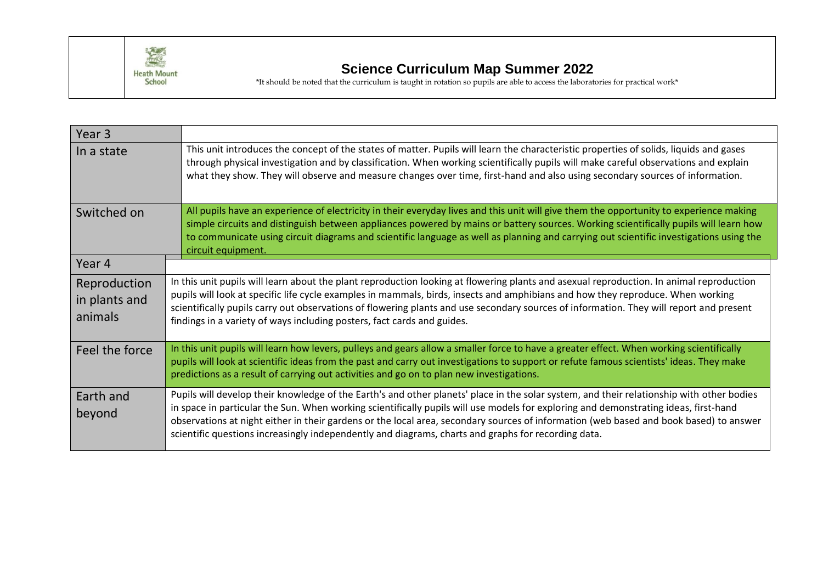

## **Science Curriculum Map Summer 2022**

\*It should be noted that the curriculum is taught in rotation so pupils are able to access the laboratories for practical work\*

| Year 3                                   |                                                                                                                                                                                                                                                                                                                                                                                                                                                                                                                                    |
|------------------------------------------|------------------------------------------------------------------------------------------------------------------------------------------------------------------------------------------------------------------------------------------------------------------------------------------------------------------------------------------------------------------------------------------------------------------------------------------------------------------------------------------------------------------------------------|
| In a state                               | This unit introduces the concept of the states of matter. Pupils will learn the characteristic properties of solids, liquids and gases<br>through physical investigation and by classification. When working scientifically pupils will make careful observations and explain<br>what they show. They will observe and measure changes over time, first-hand and also using secondary sources of information.                                                                                                                      |
| Switched on                              | All pupils have an experience of electricity in their everyday lives and this unit will give them the opportunity to experience making<br>simple circuits and distinguish between appliances powered by mains or battery sources. Working scientifically pupils will learn how<br>to communicate using circuit diagrams and scientific language as well as planning and carrying out scientific investigations using the<br>circuit equipment.                                                                                     |
| Year 4                                   |                                                                                                                                                                                                                                                                                                                                                                                                                                                                                                                                    |
| Reproduction<br>in plants and<br>animals | In this unit pupils will learn about the plant reproduction looking at flowering plants and asexual reproduction. In animal reproduction<br>pupils will look at specific life cycle examples in mammals, birds, insects and amphibians and how they reproduce. When working<br>scientifically pupils carry out observations of flowering plants and use secondary sources of information. They will report and present<br>findings in a variety of ways including posters, fact cards and guides.                                  |
| Feel the force                           | In this unit pupils will learn how levers, pulleys and gears allow a smaller force to have a greater effect. When working scientifically<br>pupils will look at scientific ideas from the past and carry out investigations to support or refute famous scientists' ideas. They make<br>predictions as a result of carrying out activities and go on to plan new investigations.                                                                                                                                                   |
| Earth and<br>beyond                      | Pupils will develop their knowledge of the Earth's and other planets' place in the solar system, and their relationship with other bodies<br>in space in particular the Sun. When working scientifically pupils will use models for exploring and demonstrating ideas, first-hand<br>observations at night either in their gardens or the local area, secondary sources of information (web based and book based) to answer<br>scientific questions increasingly independently and diagrams, charts and graphs for recording data. |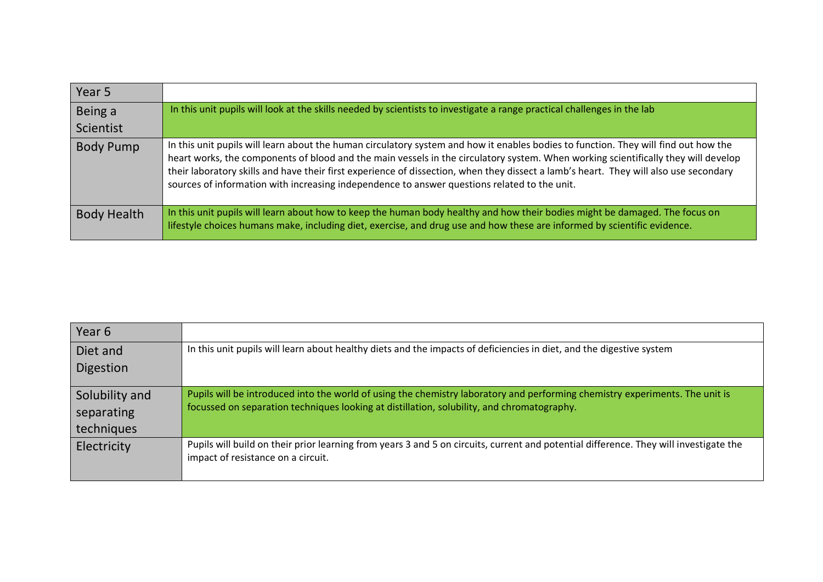| Year 5             |                                                                                                                                                                                                                                                                                                                                                                                                                                                                                                                    |
|--------------------|--------------------------------------------------------------------------------------------------------------------------------------------------------------------------------------------------------------------------------------------------------------------------------------------------------------------------------------------------------------------------------------------------------------------------------------------------------------------------------------------------------------------|
| Being a            | In this unit pupils will look at the skills needed by scientists to investigate a range practical challenges in the lab                                                                                                                                                                                                                                                                                                                                                                                            |
| Scientist          |                                                                                                                                                                                                                                                                                                                                                                                                                                                                                                                    |
| <b>Body Pump</b>   | In this unit pupils will learn about the human circulatory system and how it enables bodies to function. They will find out how the<br>heart works, the components of blood and the main vessels in the circulatory system. When working scientifically they will develop<br>their laboratory skills and have their first experience of dissection, when they dissect a lamb's heart. They will also use secondary<br>sources of information with increasing independence to answer questions related to the unit. |
| <b>Body Health</b> | In this unit pupils will learn about how to keep the human body healthy and how their bodies might be damaged. The focus on<br>lifestyle choices humans make, including diet, exercise, and drug use and how these are informed by scientific evidence.                                                                                                                                                                                                                                                            |

| Year 6                   |                                                                                                                                                                                                                            |
|--------------------------|----------------------------------------------------------------------------------------------------------------------------------------------------------------------------------------------------------------------------|
| Diet and                 | In this unit pupils will learn about healthy diets and the impacts of deficiencies in diet, and the digestive system                                                                                                       |
| Digestion                |                                                                                                                                                                                                                            |
| Solubility and           | Pupils will be introduced into the world of using the chemistry laboratory and performing chemistry experiments. The unit is<br>focussed on separation techniques looking at distillation, solubility, and chromatography. |
| separating<br>techniques |                                                                                                                                                                                                                            |
| Electricity              | Pupils will build on their prior learning from years 3 and 5 on circuits, current and potential difference. They will investigate the<br>impact of resistance on a circuit.                                                |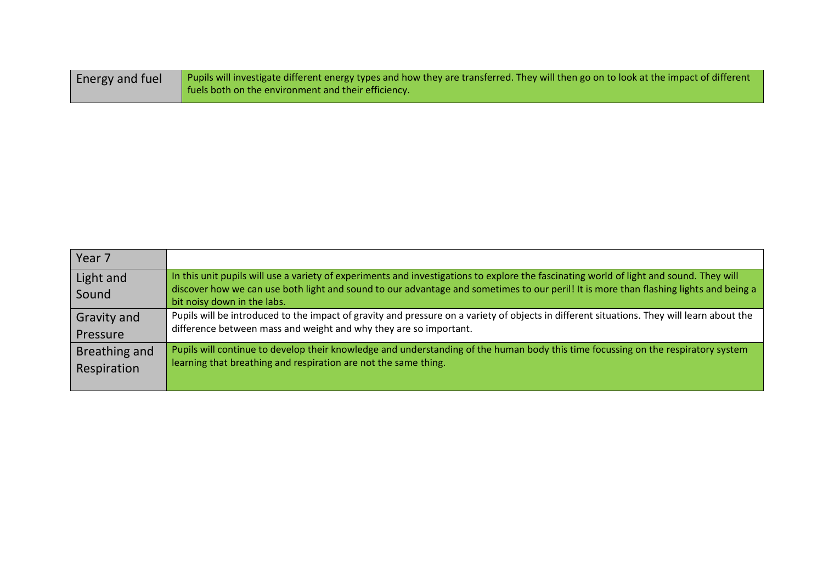| Energy and fuel | Pupils will investigate different energy types and how they are transferred. They will then go on to look at the impact of different |
|-----------------|--------------------------------------------------------------------------------------------------------------------------------------|
|                 | fuels both on the environment and their efficiency.                                                                                  |

| Year <sub>7</sub>  |                                                                                                                                                                                                                                                                                                                 |
|--------------------|-----------------------------------------------------------------------------------------------------------------------------------------------------------------------------------------------------------------------------------------------------------------------------------------------------------------|
| Light and<br>Sound | In this unit pupils will use a variety of experiments and investigations to explore the fascinating world of light and sound. They will<br>discover how we can use both light and sound to our advantage and sometimes to our peril! It is more than flashing lights and being a<br>bit noisy down in the labs. |
| <b>Gravity and</b> | Pupils will be introduced to the impact of gravity and pressure on a variety of objects in different situations. They will learn about the                                                                                                                                                                      |
| Pressure           | difference between mass and weight and why they are so important.                                                                                                                                                                                                                                               |
| Breathing and      | Pupils will continue to develop their knowledge and understanding of the human body this time focussing on the respiratory system                                                                                                                                                                               |
| Respiration        | learning that breathing and respiration are not the same thing.                                                                                                                                                                                                                                                 |